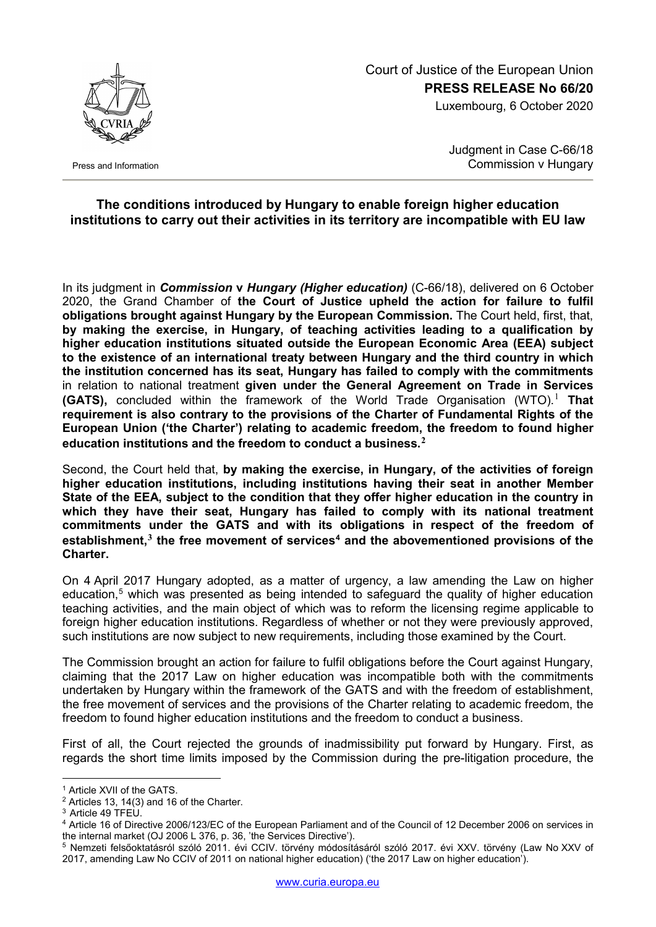

Press and Information

## Court of Justice of the European Union **PRESS RELEASE No 66/20**

Luxembourg, 6 October 2020

Judgment in Case C-66/18 Commission v Hungary

## **The conditions introduced by Hungary to enable foreign higher education institutions to carry out their activities in its territory are incompatible with EU law**

In its judgment in *Commission* **v** *Hungary (Higher education)* (C-66/18), delivered on 6 October 2020, the Grand Chamber of **the Court of Justice upheld the action for failure to fulfil obligations brought against Hungary by the European Commission.** The Court held, first, that, **by making the exercise, in Hungary, of teaching activities leading to a qualification by higher education institutions situated outside the European Economic Area (EEA) subject to the existence of an international treaty between Hungary and the third country in which the institution concerned has its seat, Hungary has failed to comply with the commitments** in relation to national treatment **given under the General Agreement on Trade in Services (GATS),** concluded within the framework of the World Trade Organisation (WTO). [1](#page-0-0) **That requirement is also contrary to the provisions of the Charter of Fundamental Rights of the European Union ('the Charter') relating to academic freedom, the freedom to found higher education institutions and the freedom to conduct a business. [2](#page-0-1)**

Second, the Court held that, **by making the exercise, in Hungary, of the activities of foreign higher education institutions, including institutions having their seat in another Member State of the EEA, subject to the condition that they offer higher education in the country in which they have their seat, Hungary has failed to comply with its national treatment commitments under the GATS and with its obligations in respect of the freedom of establishment, [3](#page-0-2) the free movement of services[4](#page-0-3) and the abovementioned provisions of the Charter.**

On 4 April 2017 Hungary adopted, as a matter of urgency, a law amending the Law on higher education, [5](#page-0-4) which was presented as being intended to safeguard the quality of higher education teaching activities, and the main object of which was to reform the licensing regime applicable to foreign higher education institutions. Regardless of whether or not they were previously approved, such institutions are now subject to new requirements, including those examined by the Court.

The Commission brought an action for failure to fulfil obligations before the Court against Hungary, claiming that the 2017 Law on higher education was incompatible both with the commitments undertaken by Hungary within the framework of the GATS and with the freedom of establishment, the free movement of services and the provisions of the Charter relating to academic freedom, the freedom to found higher education institutions and the freedom to conduct a business.

First of all, the Court rejected the grounds of inadmissibility put forward by Hungary. First, as regards the short time limits imposed by the Commission during the pre-litigation procedure, the

<sup>-</sup><sup>1</sup> Article XVII of the GATS.

<span id="page-0-1"></span><span id="page-0-0"></span><sup>2</sup> Articles 13, 14(3) and 16 of the Charter.

<sup>&</sup>lt;sup>3</sup> Article 49 TFEU.

<span id="page-0-3"></span><span id="page-0-2"></span><sup>4</sup> Article 16 of Directive 2006/123/EC of the European Parliament and of the Council of 12 December 2006 on services in the internal market (OJ 2006 L 376, p. 36, 'the Services Directive').

<span id="page-0-4"></span><sup>5</sup> Nemzeti felsőoktatásról szóló 2011. évi CCIV. törvény módosításáról szóló 2017. évi XXV. törvény (Law No XXV of 2017, amending Law No CCIV of 2011 on national higher education) ('the 2017 Law on higher education').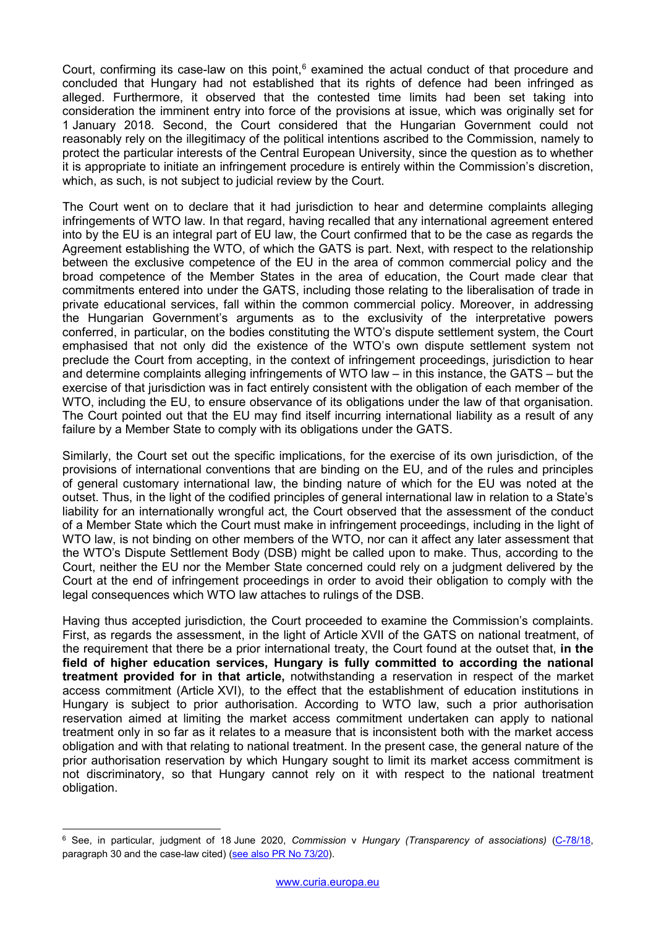Court, confirming its case-law on this point, $6$  examined the actual conduct of that procedure and concluded that Hungary had not established that its rights of defence had been infringed as alleged. Furthermore, it observed that the contested time limits had been set taking into consideration the imminent entry into force of the provisions at issue, which was originally set for 1 January 2018. Second, the Court considered that the Hungarian Government could not reasonably rely on the illegitimacy of the political intentions ascribed to the Commission, namely to protect the particular interests of the Central European University, since the question as to whether it is appropriate to initiate an infringement procedure is entirely within the Commission's discretion, which, as such, is not subject to judicial review by the Court.

The Court went on to declare that it had jurisdiction to hear and determine complaints alleging infringements of WTO law. In that regard, having recalled that any international agreement entered into by the EU is an integral part of EU law, the Court confirmed that to be the case as regards the Agreement establishing the WTO, of which the GATS is part. Next, with respect to the relationship between the exclusive competence of the EU in the area of common commercial policy and the broad competence of the Member States in the area of education, the Court made clear that commitments entered into under the GATS, including those relating to the liberalisation of trade in private educational services, fall within the common commercial policy. Moreover, in addressing the Hungarian Government's arguments as to the exclusivity of the interpretative powers conferred, in particular, on the bodies constituting the WTO's dispute settlement system, the Court emphasised that not only did the existence of the WTO's own dispute settlement system not preclude the Court from accepting, in the context of infringement proceedings, jurisdiction to hear and determine complaints alleging infringements of WTO law – in this instance, the GATS – but the exercise of that jurisdiction was in fact entirely consistent with the obligation of each member of the WTO, including the EU, to ensure observance of its obligations under the law of that organisation. The Court pointed out that the EU may find itself incurring international liability as a result of any failure by a Member State to comply with its obligations under the GATS.

Similarly, the Court set out the specific implications, for the exercise of its own jurisdiction, of the provisions of international conventions that are binding on the EU, and of the rules and principles of general customary international law, the binding nature of which for the EU was noted at the outset. Thus, in the light of the codified principles of general international law in relation to a State's liability for an internationally wrongful act, the Court observed that the assessment of the conduct of a Member State which the Court must make in infringement proceedings, including in the light of WTO law, is not binding on other members of the WTO, nor can it affect any later assessment that the WTO's Dispute Settlement Body (DSB) might be called upon to make. Thus, according to the Court, neither the EU nor the Member State concerned could rely on a judgment delivered by the Court at the end of infringement proceedings in order to avoid their obligation to comply with the legal consequences which WTO law attaches to rulings of the DSB.

Having thus accepted jurisdiction, the Court proceeded to examine the Commission's complaints. First, as regards the assessment, in the light of Article XVII of the GATS on national treatment, of the requirement that there be a prior international treaty, the Court found at the outset that, **in the field of higher education services, Hungary is fully committed to according the national treatment provided for in that article,** notwithstanding a reservation in respect of the market access commitment (Article XVI), to the effect that the establishment of education institutions in Hungary is subject to prior authorisation. According to WTO law, such a prior authorisation reservation aimed at limiting the market access commitment undertaken can apply to national treatment only in so far as it relates to a measure that is inconsistent both with the market access obligation and with that relating to national treatment. In the present case, the general nature of the prior authorisation reservation by which Hungary sought to limit its market access commitment is not discriminatory, so that Hungary cannot rely on it with respect to the national treatment obligation.

<u>.</u>

<span id="page-1-0"></span><sup>6</sup> See, in particular, judgment of 18 June 2020, *Commission* v *Hungary (Transparency of associations)* [\(C-78/18,](http://curia.europa.eu/juris/documents.jsf?num=C-78/18) paragraph 30 and the case-law cited) [\(see also PR No](https://curia.europa.eu/jcms/upload/docs/application/pdf/2020-06/cp200073en.pdf) 73/20).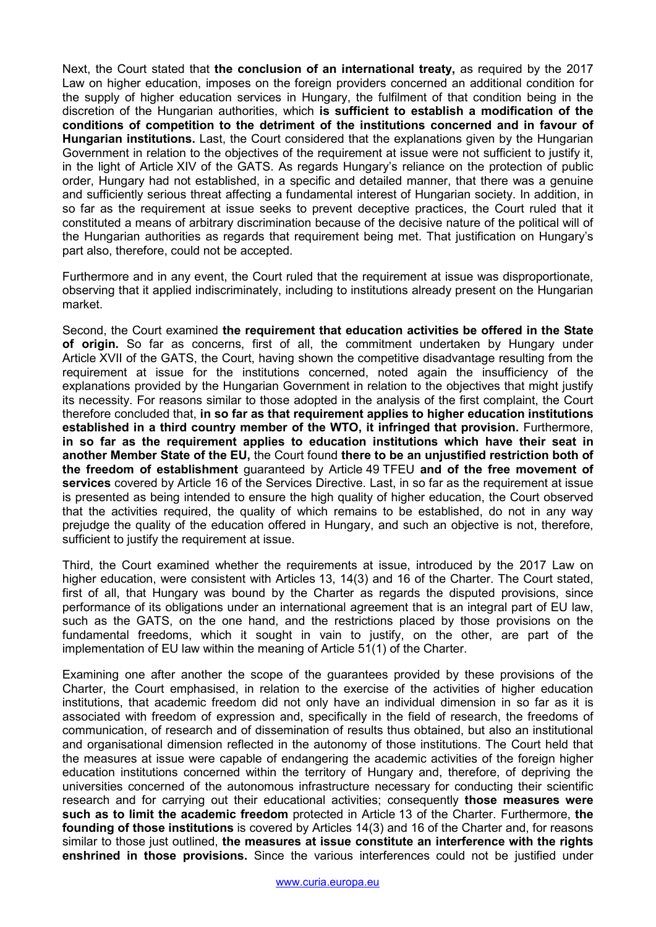Next, the Court stated that **the conclusion of an international treaty,** as required by the 2017 Law on higher education, imposes on the foreign providers concerned an additional condition for the supply of higher education services in Hungary, the fulfilment of that condition being in the discretion of the Hungarian authorities, which **is sufficient to establish a modification of the conditions of competition to the detriment of the institutions concerned and in favour of Hungarian institutions.** Last, the Court considered that the explanations given by the Hungarian Government in relation to the objectives of the requirement at issue were not sufficient to justify it, in the light of Article XIV of the GATS. As regards Hungary's reliance on the protection of public order, Hungary had not established, in a specific and detailed manner, that there was a genuine and sufficiently serious threat affecting a fundamental interest of Hungarian society. In addition, in so far as the requirement at issue seeks to prevent deceptive practices, the Court ruled that it constituted a means of arbitrary discrimination because of the decisive nature of the political will of the Hungarian authorities as regards that requirement being met. That justification on Hungary's part also, therefore, could not be accepted.

Furthermore and in any event, the Court ruled that the requirement at issue was disproportionate, observing that it applied indiscriminately, including to institutions already present on the Hungarian market.

Second, the Court examined **the requirement that education activities be offered in the State of origin.** So far as concerns, first of all, the commitment undertaken by Hungary under Article XVII of the GATS, the Court, having shown the competitive disadvantage resulting from the requirement at issue for the institutions concerned, noted again the insufficiency of the explanations provided by the Hungarian Government in relation to the objectives that might justify its necessity. For reasons similar to those adopted in the analysis of the first complaint, the Court therefore concluded that, **in so far as that requirement applies to higher education institutions established in a third country member of the WTO, it infringed that provision.** Furthermore, **in so far as the requirement applies to education institutions which have their seat in another Member State of the EU,** the Court found **there to be an unjustified restriction both of the freedom of establishment** guaranteed by Article 49 TFEU **and of the free movement of services** covered by Article 16 of the Services Directive. Last, in so far as the requirement at issue is presented as being intended to ensure the high quality of higher education, the Court observed that the activities required, the quality of which remains to be established, do not in any way prejudge the quality of the education offered in Hungary, and such an objective is not, therefore, sufficient to justify the requirement at issue.

Third, the Court examined whether the requirements at issue, introduced by the 2017 Law on higher education, were consistent with Articles 13, 14(3) and 16 of the Charter. The Court stated, first of all, that Hungary was bound by the Charter as regards the disputed provisions, since performance of its obligations under an international agreement that is an integral part of EU law, such as the GATS, on the one hand, and the restrictions placed by those provisions on the fundamental freedoms, which it sought in vain to justify, on the other, are part of the implementation of EU law within the meaning of Article 51(1) of the Charter.

Examining one after another the scope of the guarantees provided by these provisions of the Charter, the Court emphasised, in relation to the exercise of the activities of higher education institutions, that academic freedom did not only have an individual dimension in so far as it is associated with freedom of expression and, specifically in the field of research, the freedoms of communication, of research and of dissemination of results thus obtained, but also an institutional and organisational dimension reflected in the autonomy of those institutions. The Court held that the measures at issue were capable of endangering the academic activities of the foreign higher education institutions concerned within the territory of Hungary and, therefore, of depriving the universities concerned of the autonomous infrastructure necessary for conducting their scientific research and for carrying out their educational activities; consequently **those measures were such as to limit the academic freedom** protected in Article 13 of the Charter. Furthermore, **the founding of those institutions** is covered by Articles 14(3) and 16 of the Charter and, for reasons similar to those just outlined, **the measures at issue constitute an interference with the rights enshrined in those provisions.** Since the various interferences could not be justified under